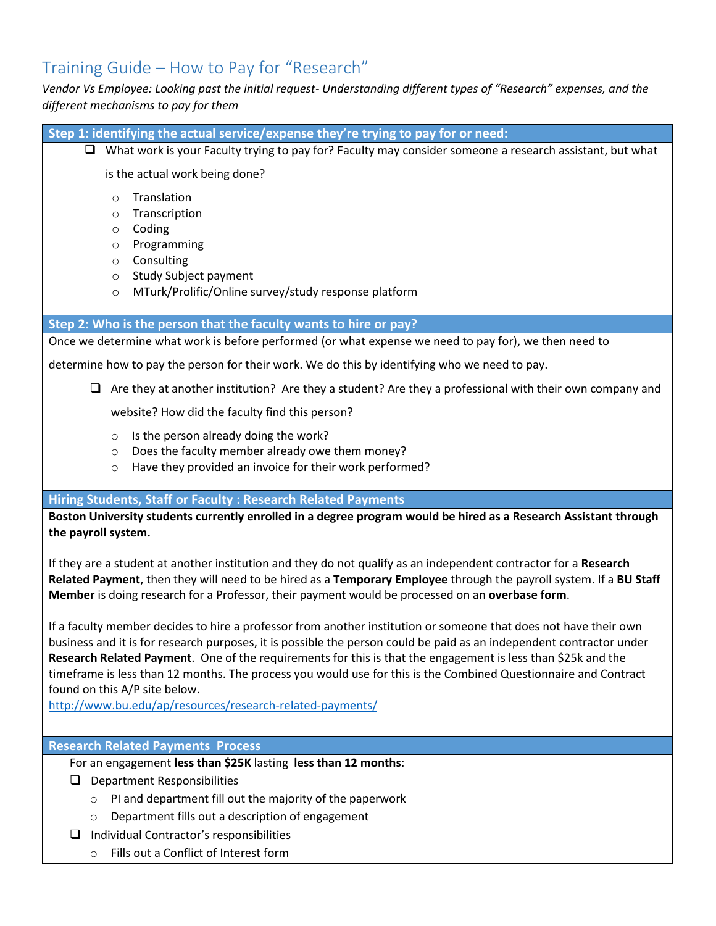# Training Guide – How to Pay for "Research"

*Vendor Vs Employee: Looking past the initial request- Understanding different types of "Research" expenses, and the different mechanisms to pay for them* 

- **Step 1: identifying the actual service/expense they're trying to pay for or need:**
	- $\Box$  What work is your Faculty trying to pay for? Faculty may consider someone a research assistant, but what

is the actual work being done?

- o Translation
- o Transcription
- o Coding
- o Programming
- o Consulting
- o Study Subject payment
- o MTurk/Prolific/Online survey/study response platform

#### **Step 2: Who is the person that the faculty wants to hire or pay?**

Once we determine what work is before performed (or what expense we need to pay for), we then need to

determine how to pay the person for their work. We do this by identifying who we need to pay.

 $\Box$  Are they at another institution? Are they a student? Are they a professional with their own company and

website? How did the faculty find this person?

- o Is the person already doing the work?
- o Does the faculty member already owe them money?
- o Have they provided an invoice for their work performed?

## **Hiring Students, Staff or Faculty : Research Related Payments**

**Boston University students currently enrolled in a degree program would be hired as a Research Assistant through the payroll system.**

If they are a student at another institution and they do not qualify as an independent contractor for a **Research Related Payment**, then they will need to be hired as a **Temporary Employee** through the payroll system. If a **BU Staff Member** is doing research for a Professor, their payment would be processed on an **overbase form**.

If a faculty member decides to hire a professor from another institution or someone that does not have their own business and it is for research purposes, it is possible the person could be paid as an independent contractor under **Research Related Payment**. One of the requirements for this is that the engagement is less than \$25k and the timeframe is less than 12 months. The process you would use for this is the Combined Questionnaire and Contract found on this A/P site below.

<http://www.bu.edu/ap/resources/research-related-payments/>

## **Research Related Payments Process**

For an engagement **less than \$25K** lasting **less than 12 months**:

- $\Box$  Department Responsibilities
	- o PI and department fill out the majority of the paperwork
	- o Department fills out a description of engagement
- $\Box$  Individual Contractor's responsibilities
	- o Fills out a Conflict of Interest form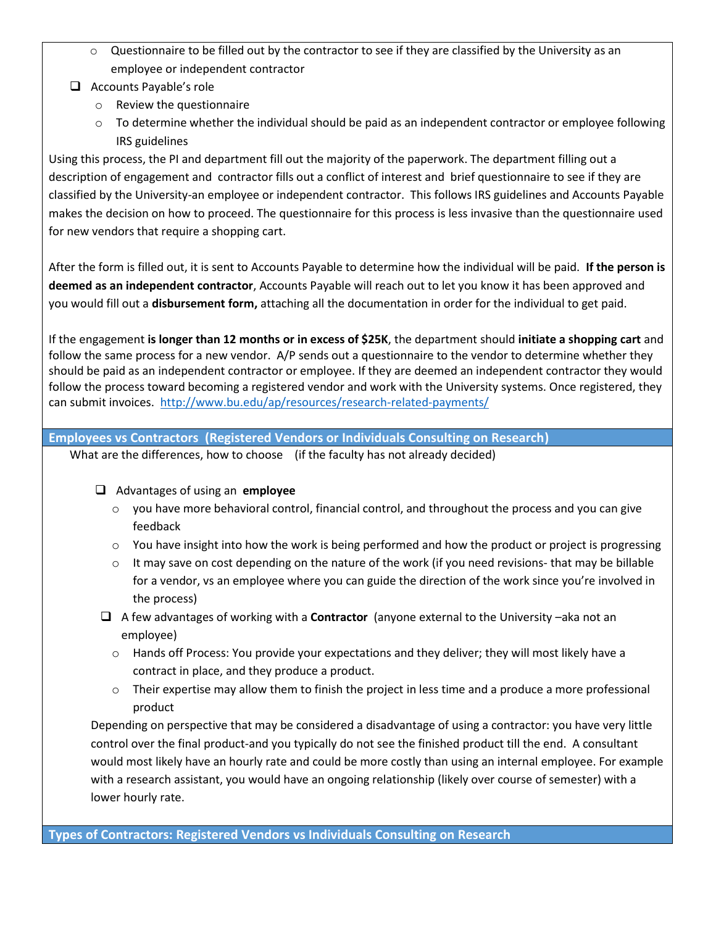- o Questionnaire to be filled out by the contractor to see if they are classified by the University as an employee or independent contractor
- $\Box$  Accounts Payable's role
	- o Review the questionnaire
	- $\circ$  To determine whether the individual should be paid as an independent contractor or employee following IRS guidelines

Using this process, the PI and department fill out the majority of the paperwork. The department filling out a description of engagement and contractor fills out a conflict of interest and brief questionnaire to see if they are classified by the University-an employee or independent contractor. This follows IRS guidelines and Accounts Payable makes the decision on how to proceed. The questionnaire for this process is less invasive than the questionnaire used for new vendors that require a shopping cart.

After the form is filled out, it is sent to Accounts Payable to determine how the individual will be paid. **If the person is deemed as an independent contractor**, Accounts Payable will reach out to let you know it has been approved and you would fill out a **disbursement form,** attaching all the documentation in order for the individual to get paid.

If the engagement **is longer than 12 months or in excess of \$25K**, the department should **initiate a shopping cart** and follow the same process for a new vendor. A/P sends out a questionnaire to the vendor to determine whether they should be paid as an independent contractor or employee. If they are deemed an independent contractor they would follow the process toward becoming a registered vendor and work with the University systems. Once registered, they can submit invoices. <http://www.bu.edu/ap/resources/research-related-payments/>

## **Employees vs Contractors (Registered Vendors or Individuals Consulting on Research)**

What are the differences, how to choose (if the faculty has not already decided)

# Advantages of using an **employee**

- $\circ$  you have more behavioral control, financial control, and throughout the process and you can give feedback
- $\circ$  You have insight into how the work is being performed and how the product or project is progressing
- $\circ$  It may save on cost depending on the nature of the work (if you need revisions- that may be billable for a vendor, vs an employee where you can guide the direction of the work since you're involved in the process)
- A few advantages of working with a **Contractor** (anyone external to the University –aka not an employee)
	- o Hands off Process: You provide your expectations and they deliver; they will most likely have a contract in place, and they produce a product.
	- $\circ$  Their expertise may allow them to finish the project in less time and a produce a more professional product

Depending on perspective that may be considered a disadvantage of using a contractor: you have very little control over the final product-and you typically do not see the finished product till the end. A consultant would most likely have an hourly rate and could be more costly than using an internal employee. For example with a research assistant, you would have an ongoing relationship (likely over course of semester) with a lower hourly rate.